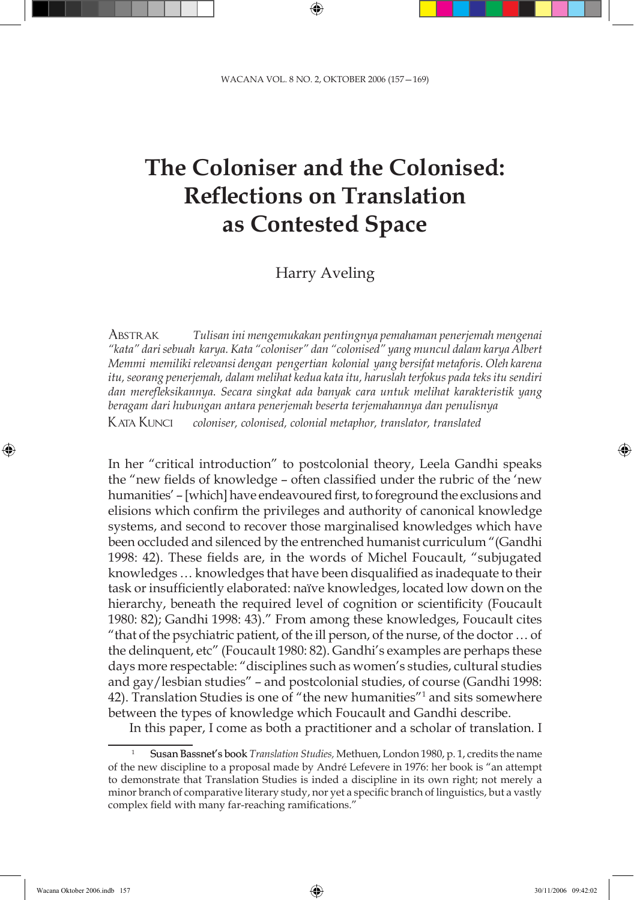# **The Coloniser and the Colonised: Reflections on Translation as Contested Space**

## Harry Aveling

Abstrak *Tulisan ini mengemukakan pentingnya pemahaman penerjemah mengenai "kata" dari sebuah karya. Kata "coloniser" dan "colonised" yang muncul dalam karya Albert Memmi memiliki relevansi dengan pengertian kolonial yang bersifat metaforis. Oleh karena itu, seorang penerjemah, dalam melihat kedua kata itu, haruslah terfokus pada teks itu sendiri dan merefleksikannya. Secara singkat ada banyak cara untuk melihat karakteristik yang beragam dari hubungan antara penerjemah beserta terjemahannya dan penulisnya*  Kata Kunci *coloniser, colonised, colonial metaphor, translator, translated*

In her "critical introduction" to postcolonial theory, Leela Gandhi speaks the "new fields of knowledge – often classified under the rubric of the 'new humanities' – [which] have endeavoured first, to foreground the exclusions and elisions which confirm the privileges and authority of canonical knowledge systems, and second to recover those marginalised knowledges which have been occluded and silenced by the entrenched humanist curriculum "(Gandhi 1998: 42). These fields are, in the words of Michel Foucault, "subjugated knowledges … knowledges that have been disqualified as inadequate to their task or insufficiently elaborated: naïve knowledges, located low down on the hierarchy, beneath the required level of cognition or scientificity (Foucault 1980: 82); Gandhi 1998: 43)." From among these knowledges, Foucault cites "that of the psychiatric patient, of the ill person, of the nurse, of the doctor … of the delinquent, etc" (Foucault 1980: 82). Gandhi's examples are perhaps these days more respectable: "disciplines such as women's studies, cultural studies and gay/lesbian studies" – and postcolonial studies, of course (Gandhi 1998: 42). Translation Studies is one of "the new humanities"<sup>1</sup> and sits somewhere between the types of knowledge which Foucault and Gandhi describe.

In this paper, I come as both a practitioner and a scholar of translation. I

⊕

<sup>1</sup> Susan Bassnet's book *Translation Studies,* Methuen, London 1980, p. 1, credits the name of the new discipline to a proposal made by André Lefevere in 1976: her book is "an attempt to demonstrate that Translation Studies is inded a discipline in its own right; not merely a minor branch of comparative literary study, nor yet a specific branch of linguistics, but a vastly complex field with many far-reaching ramifications."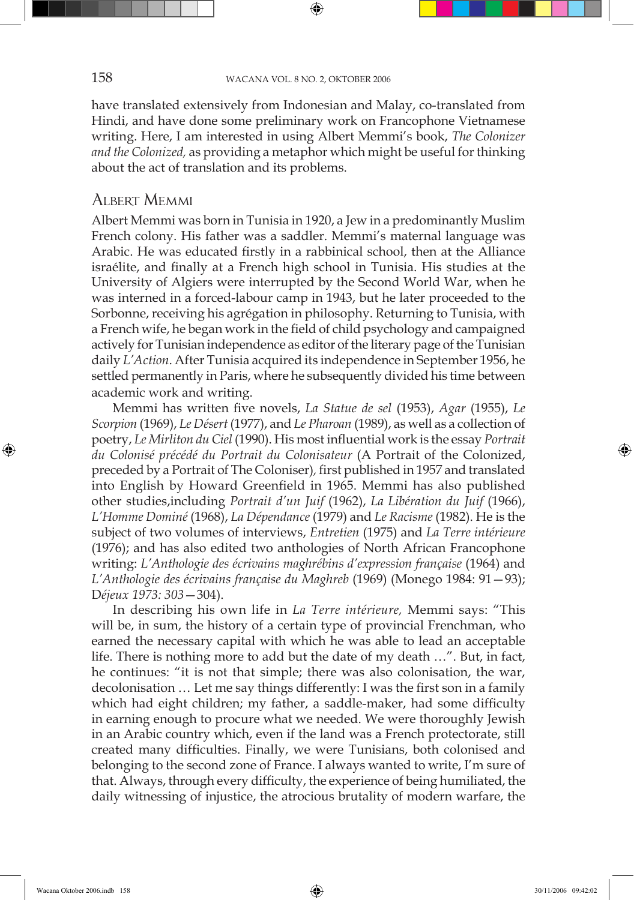have translated extensively from Indonesian and Malay, co-translated from Hindi, and have done some preliminary work on Francophone Vietnamese writing. Here, I am interested in using Albert Memmi's book, *The Colonizer and the Colonized,* as providing a metaphor which might be useful for thinking about the act of translation and its problems.

## Albert Memmi

Albert Memmi was born in Tunisia in 1920, a Jew in a predominantly Muslim French colony. His father was a saddler. Memmi's maternal language was Arabic. He was educated firstly in a rabbinical school, then at the Alliance israélite, and finally at a French high school in Tunisia. His studies at the University of Algiers were interrupted by the Second World War, when he was interned in a forced-labour camp in 1943, but he later proceeded to the Sorbonne, receiving his agrégation in philosophy. Returning to Tunisia, with a French wife, he began work in the field of child psychology and campaigned actively for Tunisian independence as editor of the literary page of the Tunisian daily *L'Action*. After Tunisia acquired its independence in September 1956, he settled permanently in Paris, where he subsequently divided his time between academic work and writing.

Memmi has written five novels, *La Statue de sel* (1953), *Agar* (1955), *Le Scorpion* (1969), *Le Désert* (1977), and *Le Pharoan* (1989), as well as a collection of poetry, *Le Mirliton du Ciel* (1990). His most influential work is the essay *Portrait du Colonisé précédé du Portrait du Colonisateur* (A Portrait of the Colonized, preceded by a Portrait of The Coloniser)*,* first published in 1957 and translated into English by Howard Greenfield in 1965. Memmi has also published other studies,including *Portrait d'un Juif* (1962), *La Libération du Juif* (1966), *L'Homme Dominé* (1968), *La Dépendance* (1979) and *Le Racisme* (1982). He is the subject of two volumes of interviews, *Entretien* (1975) and *La Terre intérieure*  (1976); and has also edited two anthologies of North African Francophone writing: *L'Anthologie des écrivains maghrébins d'expression française* (1964) and *L'Anthologie des écrivains française du Maghreb* (1969) (Monego 1984: 91—93); D*éjeux 1973: 303*—304).

In describing his own life in *La Terre intérieure,* Memmi says: "This will be, in sum, the history of a certain type of provincial Frenchman, who earned the necessary capital with which he was able to lead an acceptable life. There is nothing more to add but the date of my death …". But, in fact, he continues: "it is not that simple; there was also colonisation, the war, decolonisation … Let me say things differently: I was the first son in a family which had eight children; my father, a saddle-maker, had some difficulty in earning enough to procure what we needed. We were thoroughly Jewish in an Arabic country which, even if the land was a French protectorate, still created many difficulties. Finally, we were Tunisians, both colonised and belonging to the second zone of France. I always wanted to write, I'm sure of that. Always, through every difficulty, the experience of being humiliated, the daily witnessing of injustice, the atrocious brutality of modern warfare, the

⊕

↔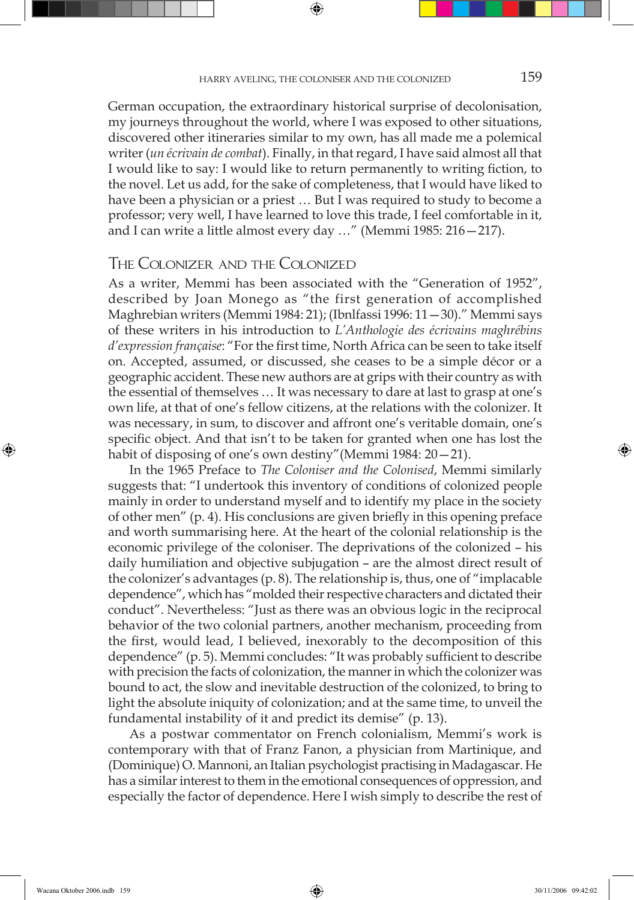German occupation, the extraordinary historical surprise of decolonisation, my journeys throughout the world, where I was exposed to other situations, discovered other itineraries similar to my own, has all made me a polemical writer (*un écrivain de combat*). Finally, in that regard, I have said almost all that I would like to say: I would like to return permanently to writing fiction, to the novel. Let us add, for the sake of completeness, that I would have liked to have been a physician or a priest … But I was required to study to become a professor; very well, I have learned to love this trade, I feel comfortable in it, and I can write a little almost every day …" (Memmi 1985: 216—217).

## The Colonizer and the Colonized

As a writer, Memmi has been associated with the "Generation of 1952", described by Joan Monego as "the first generation of accomplished Maghrebian writers (Memmi 1984: 21); (Ibnlfassi 1996: 11—30)." Memmi says of these writers in his introduction to *L'Anthologie des écrivains maghrébins d'expression française*: "For the first time, North Africa can be seen to take itself on. Accepted, assumed, or discussed, she ceases to be a simple décor or a geographic accident. These new authors are at grips with their country as with the essential of themselves … It was necessary to dare at last to grasp at one's own life, at that of one's fellow citizens, at the relations with the colonizer. It was necessary, in sum, to discover and affront one's veritable domain, one's specific object. And that isn't to be taken for granted when one has lost the habit of disposing of one's own destiny" (Memmi 1984: 20 – 21).

In the 1965 Preface to *The Coloniser and the Colonised*, Memmi similarly suggests that: "I undertook this inventory of conditions of colonized people mainly in order to understand myself and to identify my place in the society of other men" (p. 4). His conclusions are given briefly in this opening preface and worth summarising here. At the heart of the colonial relationship is the economic privilege of the coloniser. The deprivations of the colonized – his daily humiliation and objective subjugation – are the almost direct result of the colonizer's advantages (p. 8). The relationship is, thus, one of "implacable dependence", which has "molded their respective characters and dictated their conduct". Nevertheless: "Just as there was an obvious logic in the reciprocal behavior of the two colonial partners, another mechanism, proceeding from the first, would lead, I believed, inexorably to the decomposition of this dependence" (p. 5). Memmi concludes: "It was probably sufficient to describe with precision the facts of colonization, the manner in which the colonizer was bound to act, the slow and inevitable destruction of the colonized, to bring to light the absolute iniquity of colonization; and at the same time, to unveil the fundamental instability of it and predict its demise" (p. 13).

As a postwar commentator on French colonialism, Memmi's work is contemporary with that of Franz Fanon, a physician from Martinique, and (Dominique) O. Mannoni, an Italian psychologist practising in Madagascar. He has a similar interest to them in the emotional consequences of oppression, and especially the factor of dependence. Here I wish simply to describe the rest of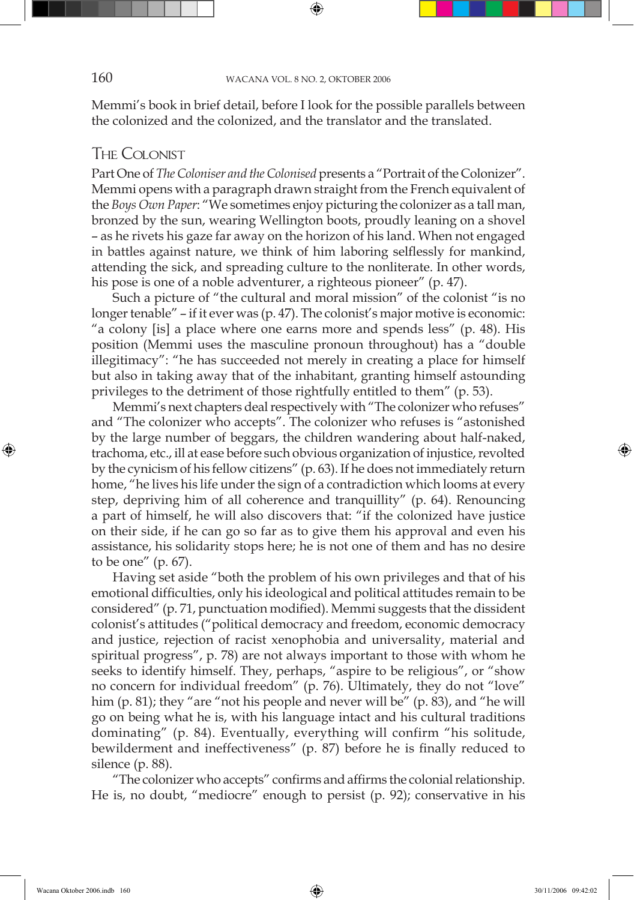Memmi's book in brief detail, before I look for the possible parallels between the colonized and the colonized, and the translator and the translated.

## The Colonist

Part One of *The Coloniser and the Colonised* presents a "Portrait of the Colonizer". Memmi opens with a paragraph drawn straight from the French equivalent of the *Boys Own Paper*: "We sometimes enjoy picturing the colonizer as a tall man, bronzed by the sun, wearing Wellington boots, proudly leaning on a shovel – as he rivets his gaze far away on the horizon of his land. When not engaged in battles against nature, we think of him laboring selflessly for mankind, attending the sick, and spreading culture to the nonliterate. In other words, his pose is one of a noble adventurer, a righteous pioneer" (p. 47).

Such a picture of "the cultural and moral mission" of the colonist "is no longer tenable" – if it ever was (p. 47). The colonist's major motive is economic: "a colony [is] a place where one earns more and spends less" (p. 48). His position (Memmi uses the masculine pronoun throughout) has a "double illegitimacy": "he has succeeded not merely in creating a place for himself but also in taking away that of the inhabitant, granting himself astounding privileges to the detriment of those rightfully entitled to them" (p. 53).

Memmi's next chapters deal respectively with "The colonizer who refuses" and "The colonizer who accepts". The colonizer who refuses is "astonished by the large number of beggars, the children wandering about half-naked, trachoma, etc., ill at ease before such obvious organization of injustice, revolted by the cynicism of his fellow citizens" (p. 63). If he does not immediately return home, "he lives his life under the sign of a contradiction which looms at every step, depriving him of all coherence and tranquillity" (p. 64). Renouncing a part of himself, he will also discovers that: "if the colonized have justice on their side, if he can go so far as to give them his approval and even his assistance, his solidarity stops here; he is not one of them and has no desire to be one" (p. 67).

Having set aside "both the problem of his own privileges and that of his emotional difficulties, only his ideological and political attitudes remain to be considered" (p. 71, punctuation modified). Memmi suggests that the dissident colonist's attitudes ("political democracy and freedom, economic democracy and justice, rejection of racist xenophobia and universality, material and spiritual progress", p. 78) are not always important to those with whom he seeks to identify himself. They, perhaps, "aspire to be religious", or "show no concern for individual freedom" (p. 76). Ultimately, they do not "love" him (p. 81); they "are "not his people and never will be" (p. 83), and "he will go on being what he is, with his language intact and his cultural traditions dominating" (p. 84). Eventually, everything will confirm "his solitude, bewilderment and ineffectiveness" (p. 87) before he is finally reduced to silence (p. 88).

"The colonizer who accepts" confirms and affirms the colonial relationship. He is, no doubt, "mediocre" enough to persist (p. 92); conservative in his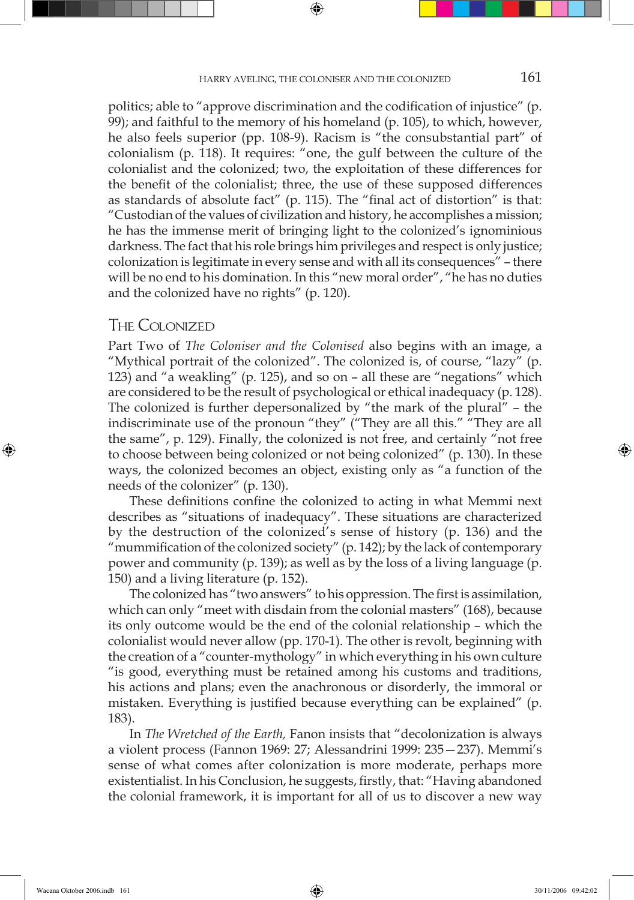politics; able to "approve discrimination and the codification of injustice" (p. 99); and faithful to the memory of his homeland (p. 105), to which, however, he also feels superior (pp. 108-9). Racism is "the consubstantial part" of colonialism (p. 118). It requires: "one, the gulf between the culture of the colonialist and the colonized; two, the exploitation of these differences for the benefit of the colonialist; three, the use of these supposed differences as standards of absolute fact" (p. 115). The "final act of distortion" is that: "Custodian of the values of civilization and history, he accomplishes a mission; he has the immense merit of bringing light to the colonized's ignominious darkness. The fact that his role brings him privileges and respect is only justice; colonization is legitimate in every sense and with all its consequences" – there will be no end to his domination. In this "new moral order", "he has no duties and the colonized have no rights" (p. 120).

## The Colonized

Part Two of *The Coloniser and the Colonised* also begins with an image, a "Mythical portrait of the colonized". The colonized is, of course, "lazy" (p. 123) and "a weakling" (p. 125), and so on – all these are "negations" which are considered to be the result of psychological or ethical inadequacy (p. 128). The colonized is further depersonalized by "the mark of the plural" – the indiscriminate use of the pronoun "they" ("They are all this." "They are all the same", p. 129). Finally, the colonized is not free, and certainly "not free to choose between being colonized or not being colonized" (p. 130). In these ways, the colonized becomes an object, existing only as "a function of the needs of the colonizer" (p. 130).

These definitions confine the colonized to acting in what Memmi next describes as "situations of inadequacy". These situations are characterized by the destruction of the colonized's sense of history (p. 136) and the "mummification of the colonized society" (p. 142); by the lack of contemporary power and community (p. 139); as well as by the loss of a living language (p. 150) and a living literature (p. 152).

The colonized has "two answers" to his oppression. The first is assimilation, which can only "meet with disdain from the colonial masters" (168), because its only outcome would be the end of the colonial relationship – which the colonialist would never allow (pp. 170-1). The other is revolt, beginning with the creation of a "counter-mythology" in which everything in his own culture "is good, everything must be retained among his customs and traditions, his actions and plans; even the anachronous or disorderly, the immoral or mistaken. Everything is justified because everything can be explained" (p. 183).

In *The Wretched of the Earth,* Fanon insists that "decolonization is always a violent process (Fannon 1969: 27; Alessandrini 1999: 235—237). Memmi's sense of what comes after colonization is more moderate, perhaps more existentialist. In his Conclusion, he suggests, firstly, that: "Having abandoned the colonial framework, it is important for all of us to discover a new way

Wacana Oktober 2006.indb 161 30/11/2006 09:42:02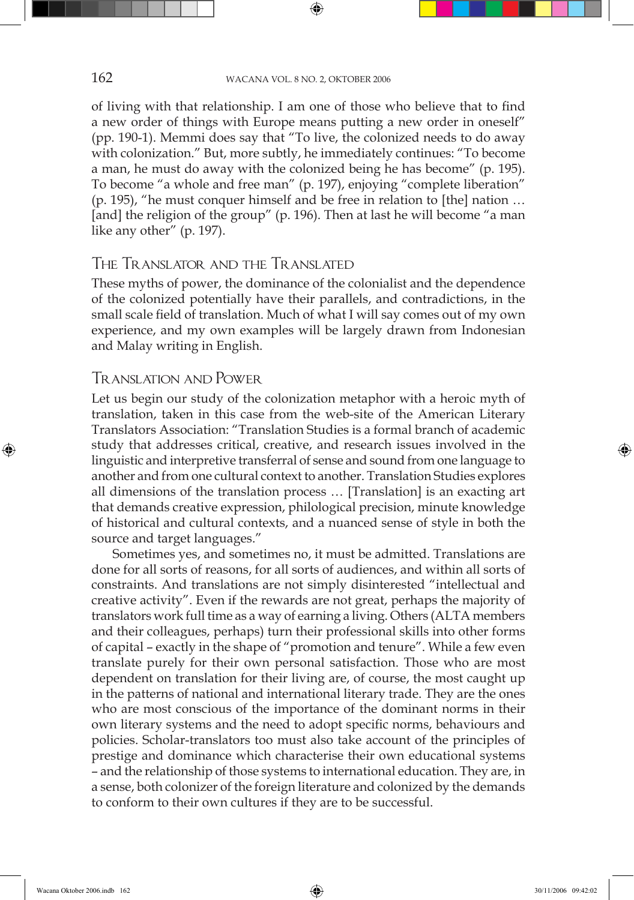#### 162 WACANA VOL. 8 NO. 2, OKTOBER 2006

⊕

of living with that relationship. I am one of those who believe that to find a new order of things with Europe means putting a new order in oneself" (pp. 190-1). Memmi does say that "To live, the colonized needs to do away with colonization." But, more subtly, he immediately continues: "To become a man, he must do away with the colonized being he has become" (p. 195). To become "a whole and free man" (p. 197), enjoying "complete liberation" (p. 195), "he must conquer himself and be free in relation to [the] nation … [and] the religion of the group" (p. 196). Then at last he will become "a man like any other" (p. 197).

### The Translator and the Translated

These myths of power, the dominance of the colonialist and the dependence of the colonized potentially have their parallels, and contradictions, in the small scale field of translation. Much of what I will say comes out of my own experience, and my own examples will be largely drawn from Indonesian and Malay writing in English.

#### Translation and Power

Let us begin our study of the colonization metaphor with a heroic myth of translation, taken in this case from the web-site of the American Literary Translators Association: "Translation Studies is a formal branch of academic study that addresses critical, creative, and research issues involved in the linguistic and interpretive transferral of sense and sound from one language to another and from one cultural context to another. Translation Studies explores all dimensions of the translation process … [Translation] is an exacting art that demands creative expression, philological precision, minute knowledge of historical and cultural contexts, and a nuanced sense of style in both the source and target languages."

Sometimes yes, and sometimes no, it must be admitted. Translations are done for all sorts of reasons, for all sorts of audiences, and within all sorts of constraints. And translations are not simply disinterested "intellectual and creative activity". Even if the rewards are not great, perhaps the majority of translators work full time as a way of earning a living. Others (ALTA members and their colleagues, perhaps) turn their professional skills into other forms of capital – exactly in the shape of "promotion and tenure". While a few even translate purely for their own personal satisfaction. Those who are most dependent on translation for their living are, of course, the most caught up in the patterns of national and international literary trade. They are the ones who are most conscious of the importance of the dominant norms in their own literary systems and the need to adopt specific norms, behaviours and policies. Scholar-translators too must also take account of the principles of prestige and dominance which characterise their own educational systems – and the relationship of those systems to international education. They are, in a sense, both colonizer of the foreign literature and colonized by the demands to conform to their own cultures if they are to be successful.

⊕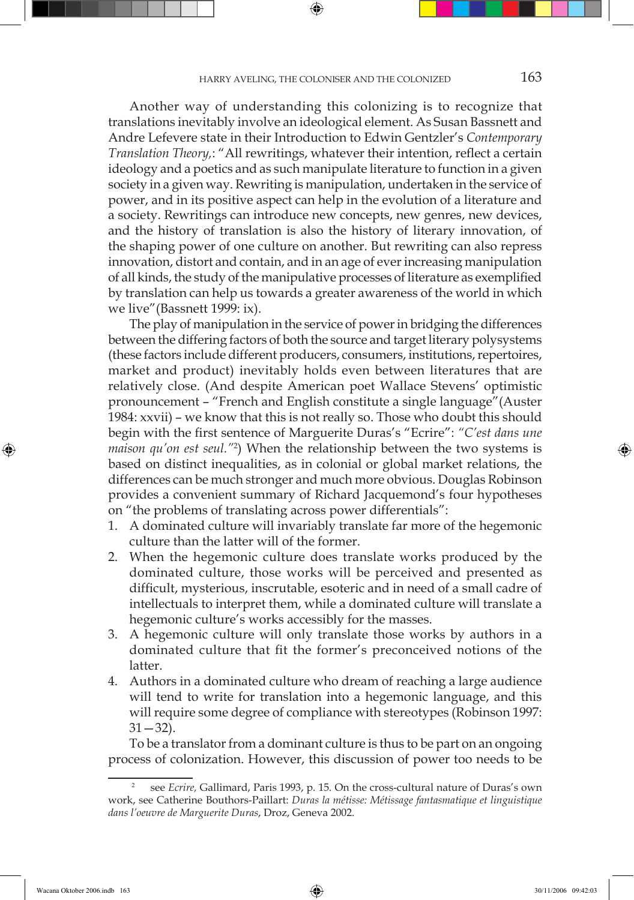Another way of understanding this colonizing is to recognize that translations inevitably involve an ideological element. As Susan Bassnett and Andre Lefevere state in their Introduction to Edwin Gentzler's *Contemporary Translation Theory,*: "All rewritings, whatever their intention, reflect a certain ideology and a poetics and as such manipulate literature to function in a given society in a given way. Rewriting is manipulation, undertaken in the service of power, and in its positive aspect can help in the evolution of a literature and a society. Rewritings can introduce new concepts, new genres, new devices, and the history of translation is also the history of literary innovation, of the shaping power of one culture on another. But rewriting can also repress innovation, distort and contain, and in an age of ever increasing manipulation of all kinds, the study of the manipulative processes of literature as exemplified by translation can help us towards a greater awareness of the world in which we live"(Bassnett 1999: ix).

The play of manipulation in the service of power in bridging the differences between the differing factors of both the source and target literary polysystems (these factors include different producers, consumers, institutions, repertoires, market and product) inevitably holds even between literatures that are relatively close. (And despite American poet Wallace Stevens' optimistic pronouncement – "French and English constitute a single language"(Auster 1984: xxvii) – we know that this is not really so. Those who doubt this should begin with the first sentence of Marguerite Duras's "Ecrire": *"C'est dans une maison qu'on est seul."*<sup>2</sup> ) When the relationship between the two systems is based on distinct inequalities, as in colonial or global market relations, the differences can be much stronger and much more obvious. Douglas Robinson provides a convenient summary of Richard Jacquemond's four hypotheses on "the problems of translating across power differentials":

- 1. A dominated culture will invariably translate far more of the hegemonic culture than the latter will of the former.
- 2. When the hegemonic culture does translate works produced by the dominated culture, those works will be perceived and presented as difficult, mysterious, inscrutable, esoteric and in need of a small cadre of intellectuals to interpret them, while a dominated culture will translate a hegemonic culture's works accessibly for the masses.
- 3. A hegemonic culture will only translate those works by authors in a dominated culture that fit the former's preconceived notions of the latter.
- 4. Authors in a dominated culture who dream of reaching a large audience will tend to write for translation into a hegemonic language, and this will require some degree of compliance with stereotypes (Robinson 1997:  $31 - 32$ ).

To be a translator from a dominant culture is thus to be part on an ongoing process of colonization. However, this discussion of power too needs to be

<sup>2</sup> see *Ecrire,* Gallimard, Paris 1993, p. 15. On the cross-cultural nature of Duras's own work, see Catherine Bouthors-Paillart: *Duras la métisse: Métissage fantasmatique et linguistique dans l'oeuvre de Marguerite Duras*, Droz, Geneva 2002.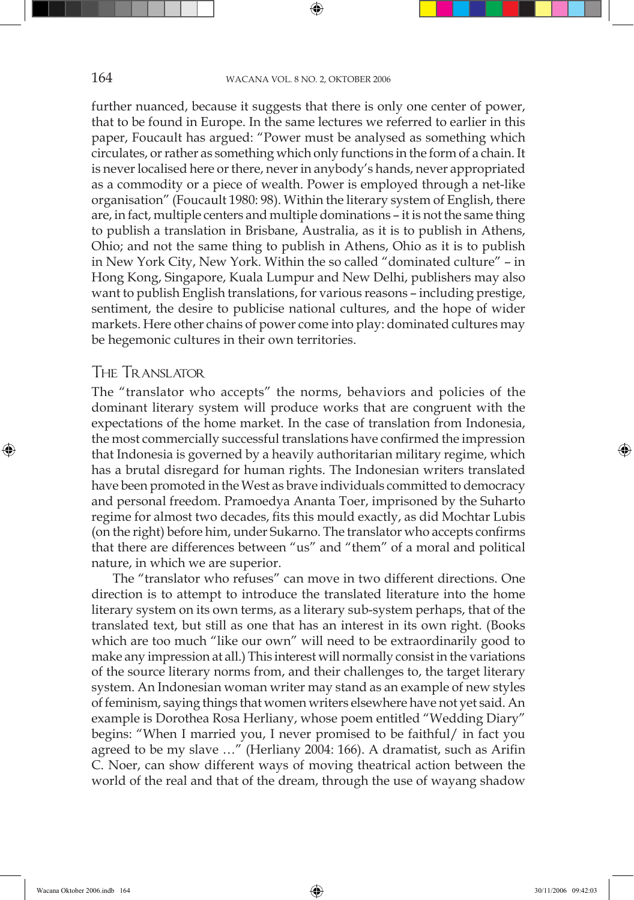#### 164 WACANA VOL. 8 NO. 2, OKTOBER 2006

⊕

further nuanced, because it suggests that there is only one center of power, that to be found in Europe. In the same lectures we referred to earlier in this paper, Foucault has argued: "Power must be analysed as something which circulates, or rather as something which only functions in the form of a chain. It is never localised here or there, never in anybody's hands, never appropriated as a commodity or a piece of wealth. Power is employed through a net-like organisation" (Foucault 1980: 98). Within the literary system of English, there are, in fact, multiple centers and multiple dominations – it is not the same thing to publish a translation in Brisbane, Australia, as it is to publish in Athens, Ohio; and not the same thing to publish in Athens, Ohio as it is to publish in New York City, New York. Within the so called "dominated culture" – in Hong Kong, Singapore, Kuala Lumpur and New Delhi, publishers may also want to publish English translations, for various reasons – including prestige, sentiment, the desire to publicise national cultures, and the hope of wider markets. Here other chains of power come into play: dominated cultures may be hegemonic cultures in their own territories.

## The Translator

⊕

The "translator who accepts" the norms, behaviors and policies of the dominant literary system will produce works that are congruent with the expectations of the home market. In the case of translation from Indonesia, the most commercially successful translations have confirmed the impression that Indonesia is governed by a heavily authoritarian military regime, which has a brutal disregard for human rights. The Indonesian writers translated have been promoted in the West as brave individuals committed to democracy and personal freedom. Pramoedya Ananta Toer, imprisoned by the Suharto regime for almost two decades, fits this mould exactly, as did Mochtar Lubis (on the right) before him, under Sukarno. The translator who accepts confirms that there are differences between "us" and "them" of a moral and political nature, in which we are superior.

The "translator who refuses" can move in two different directions. One direction is to attempt to introduce the translated literature into the home literary system on its own terms, as a literary sub-system perhaps, that of the translated text, but still as one that has an interest in its own right. (Books which are too much "like our own" will need to be extraordinarily good to make any impression at all.) This interest will normally consist in the variations of the source literary norms from, and their challenges to, the target literary system. An Indonesian woman writer may stand as an example of new styles of feminism, saying things that women writers elsewhere have not yet said. An example is Dorothea Rosa Herliany, whose poem entitled "Wedding Diary" begins: "When I married you, I never promised to be faithful/ in fact you agreed to be my slave …" (Herliany 2004: 166). A dramatist, such as Arifin C. Noer, can show different ways of moving theatrical action between the world of the real and that of the dream, through the use of wayang shadow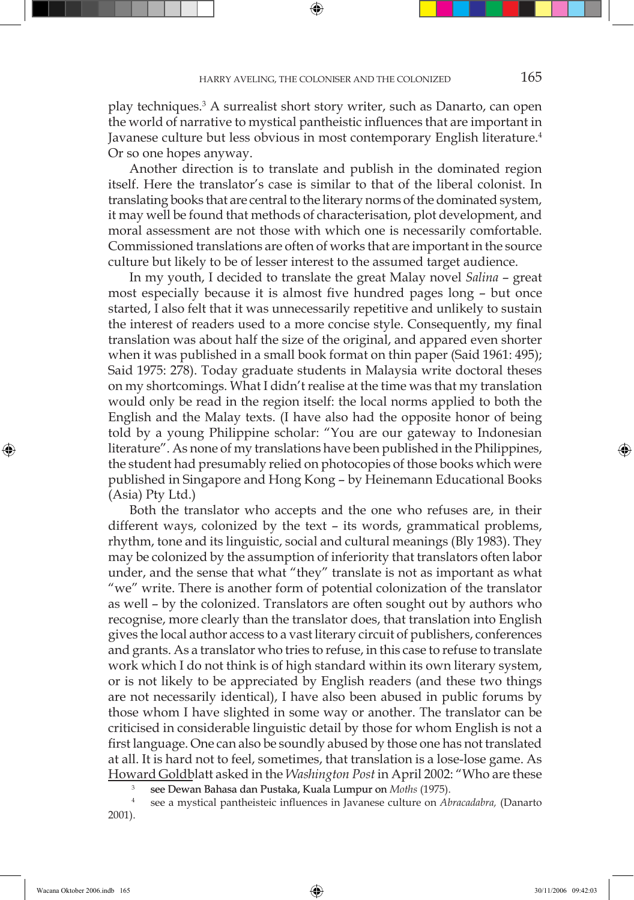play techniques.<sup>3</sup> A surrealist short story writer, such as Danarto, can open the world of narrative to mystical pantheistic influences that are important in Javanese culture but less obvious in most contemporary English literature.<sup>4</sup> Or so one hopes anyway.

Another direction is to translate and publish in the dominated region itself. Here the translator's case is similar to that of the liberal colonist. In translating books that are central to the literary norms of the dominated system, it may well be found that methods of characterisation, plot development, and moral assessment are not those with which one is necessarily comfortable. Commissioned translations are often of works that are important in the source culture but likely to be of lesser interest to the assumed target audience.

In my youth, I decided to translate the great Malay novel *Salina* – great most especially because it is almost five hundred pages long – but once started, I also felt that it was unnecessarily repetitive and unlikely to sustain the interest of readers used to a more concise style. Consequently, my final translation was about half the size of the original, and appared even shorter when it was published in a small book format on thin paper (Said 1961: 495); Said 1975: 278). Today graduate students in Malaysia write doctoral theses on my shortcomings. What I didn't realise at the time was that my translation would only be read in the region itself: the local norms applied to both the English and the Malay texts. (I have also had the opposite honor of being told by a young Philippine scholar: "You are our gateway to Indonesian literature". As none of my translations have been published in the Philippines, the student had presumably relied on photocopies of those books which were published in Singapore and Hong Kong – by Heinemann Educational Books (Asia) Pty Ltd.)

Both the translator who accepts and the one who refuses are, in their different ways, colonized by the text – its words, grammatical problems, rhythm, tone and its linguistic, social and cultural meanings (Bly 1983). They may be colonized by the assumption of inferiority that translators often labor under, and the sense that what "they" translate is not as important as what "we" write. There is another form of potential colonization of the translator as well – by the colonized. Translators are often sought out by authors who recognise, more clearly than the translator does, that translation into English gives the local author access to a vast literary circuit of publishers, conferences and grants. As a translator who tries to refuse, in this case to refuse to translate work which I do not think is of high standard within its own literary system, or is not likely to be appreciated by English readers (and these two things are not necessarily identical), I have also been abused in public forums by those whom I have slighted in some way or another. The translator can be criticised in considerable linguistic detail by those for whom English is not a first language. One can also be soundly abused by those one has not translated at all. It is hard not to feel, sometimes, that translation is a lose-lose game. As Howard Goldblatt asked in the *Washington Post* in April 2002: "Who are these 3 see Dewan Bahasa dan Pustaka, Kuala Lumpur on *Moths* (1975).

<sup>4</sup> see a mystical pantheisteic influences in Javanese culture on *Abracadabra,* (Danarto 2001).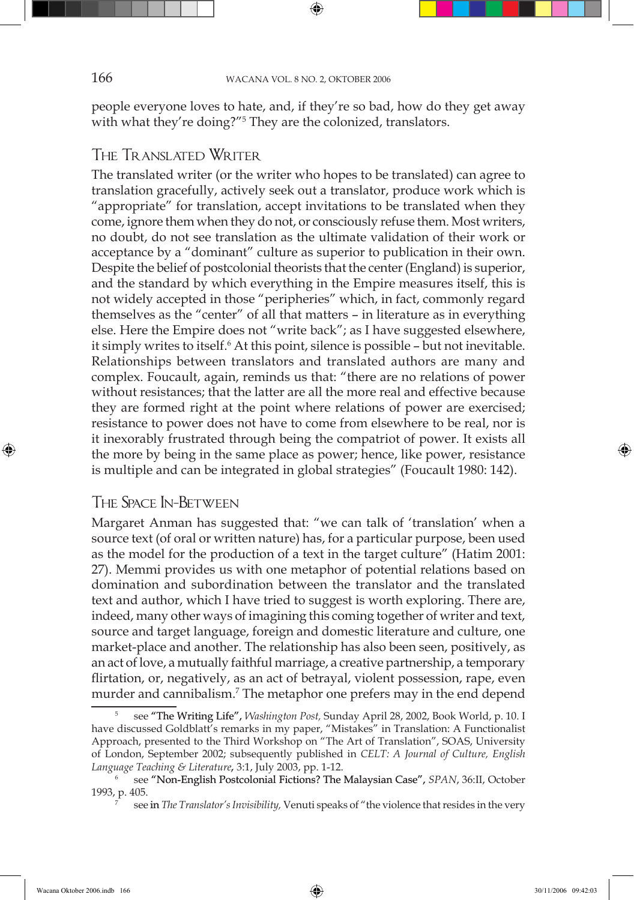people everyone loves to hate, and, if they're so bad, how do they get away with what they're doing?"<sup>5</sup> They are the colonized, translators.

## The Translated Writer

The translated writer (or the writer who hopes to be translated) can agree to translation gracefully, actively seek out a translator, produce work which is "appropriate" for translation, accept invitations to be translated when they come, ignore them when they do not, or consciously refuse them. Most writers, no doubt, do not see translation as the ultimate validation of their work or acceptance by a "dominant" culture as superior to publication in their own. Despite the belief of postcolonial theorists that the center (England) is superior, and the standard by which everything in the Empire measures itself, this is not widely accepted in those "peripheries" which, in fact, commonly regard themselves as the "center" of all that matters – in literature as in everything else. Here the Empire does not "write back"; as I have suggested elsewhere, it simply writes to itself.<sup>6</sup> At this point, silence is possible – but not inevitable. Relationships between translators and translated authors are many and complex. Foucault, again, reminds us that: "there are no relations of power without resistances; that the latter are all the more real and effective because they are formed right at the point where relations of power are exercised; resistance to power does not have to come from elsewhere to be real, nor is it inexorably frustrated through being the compatriot of power. It exists all the more by being in the same place as power; hence, like power, resistance is multiple and can be integrated in global strategies" (Foucault 1980: 142).

## The Space In-Between

Margaret Anman has suggested that: "we can talk of 'translation' when a source text (of oral or written nature) has, for a particular purpose, been used as the model for the production of a text in the target culture" (Hatim 2001: 27). Memmi provides us with one metaphor of potential relations based on domination and subordination between the translator and the translated text and author, which I have tried to suggest is worth exploring. There are, indeed, many other ways of imagining this coming together of writer and text, source and target language, foreign and domestic literature and culture, one market-place and another. The relationship has also been seen, positively, as an act of love, a mutually faithful marriage, a creative partnership, a temporary flirtation, or, negatively, as an act of betrayal, violent possession, rape, even murder and cannibalism.<sup>7</sup> The metaphor one prefers may in the end depend

<sup>5</sup> see "The Writing Life", *Washington Post,* Sunday April 28, 2002, Book World, p. 10. I have discussed Goldblatt's remarks in my paper, "Mistakes" in Translation: A Functionalist Approach, presented to the Third Workshop on "The Art of Translation", SOAS, University of London, September 2002; subsequently published in *CELT: A Journal of Culture, English Language Teaching & Literature,* 3:1, July 2003, pp. 1-12.

<sup>6</sup> see "Non-English Postcolonial Fictions? The Malaysian Case", *SPAN*, 36:II, October 1993, p. 405.

<sup>7</sup> see in *The Translator's Invisibility,* Venuti speaks of "the violence that resides in the very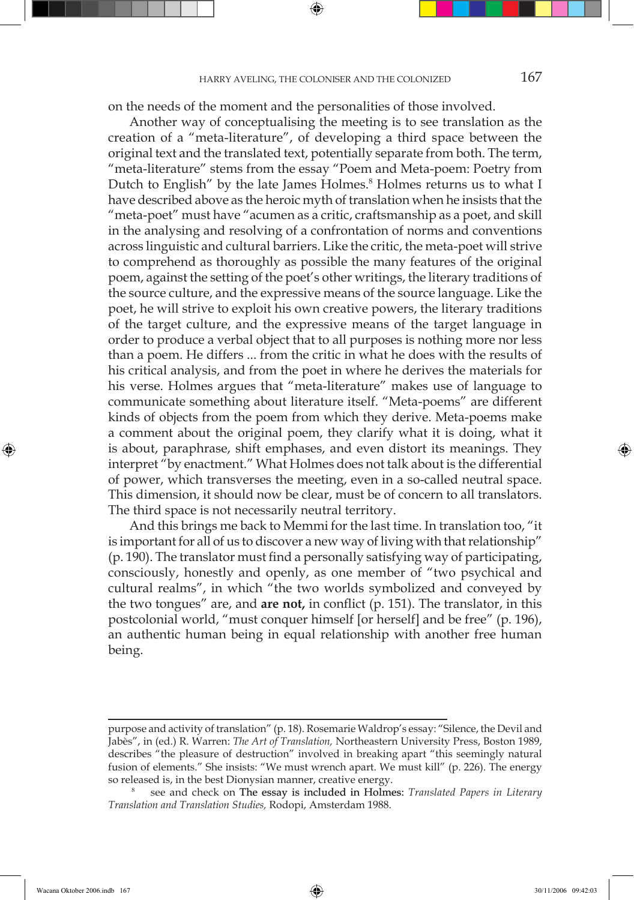#### HARRY AVELING, THE COLONISER AND THE COLONIZED  $167$

⊕

on the needs of the moment and the personalities of those involved.

Another way of conceptualising the meeting is to see translation as the creation of a "meta-literature", of developing a third space between the original text and the translated text, potentially separate from both. The term, "meta-literature" stems from the essay "Poem and Meta-poem: Poetry from Dutch to English" by the late James Holmes.<sup>8</sup> Holmes returns us to what I have described above as the heroic myth of translation when he insists that the "meta-poet" must have "acumen as a critic, craftsmanship as a poet, and skill in the analysing and resolving of a confrontation of norms and conventions across linguistic and cultural barriers. Like the critic, the meta-poet will strive to comprehend as thoroughly as possible the many features of the original poem, against the setting of the poet's other writings, the literary traditions of the source culture, and the expressive means of the source language. Like the poet, he will strive to exploit his own creative powers, the literary traditions of the target culture, and the expressive means of the target language in order to produce a verbal object that to all purposes is nothing more nor less than a poem. He differs ... from the critic in what he does with the results of his critical analysis, and from the poet in where he derives the materials for his verse. Holmes argues that "meta-literature" makes use of language to communicate something about literature itself. "Meta-poems" are different kinds of objects from the poem from which they derive. Meta-poems make a comment about the original poem, they clarify what it is doing, what it is about, paraphrase, shift emphases, and even distort its meanings. They interpret "by enactment." What Holmes does not talk about is the differential of power, which transverses the meeting, even in a so-called neutral space. This dimension, it should now be clear, must be of concern to all translators. The third space is not necessarily neutral territory.

And this brings me back to Memmi for the last time. In translation too, "it is important for all of us to discover a new way of living with that relationship" (p. 190). The translator must find a personally satisfying way of participating, consciously, honestly and openly, as one member of "two psychical and cultural realms", in which "the two worlds symbolized and conveyed by the two tongues" are, and **are not,** in conflict (p. 151). The translator, in this postcolonial world, "must conquer himself [or herself] and be free" (p. 196), an authentic human being in equal relationship with another free human being.

Wacana Oktober 2006.indb 167 30/11/2006 09:42:03

purpose and activity of translation" (p. 18). Rosemarie Waldrop's essay: "Silence, the Devil and Jabès", in (ed.) R. Warren: *The Art of Translation,* Northeastern University Press, Boston 1989, describes "the pleasure of destruction" involved in breaking apart "this seemingly natural fusion of elements." She insists: "We must wrench apart. We must kill" (p. 226). The energy so released is, in the best Dionysian manner, creative energy.

<sup>8</sup> see and check on The essay is included in Holmes: *Translated Papers in Literary Translation and Translation Studies,* Rodopi, Amsterdam 1988.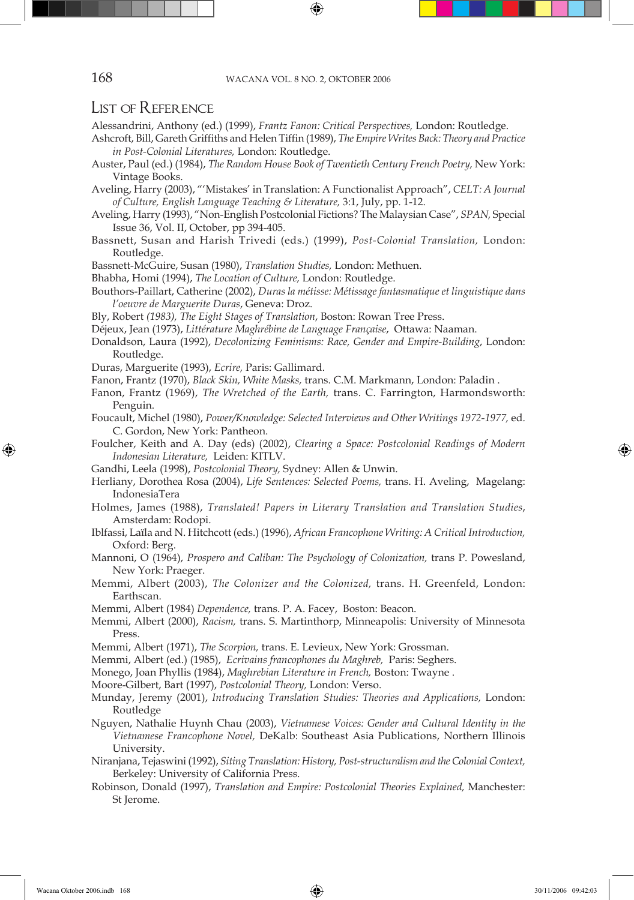## List of Reference

Alessandrini, Anthony (ed.) (1999), *Frantz Fanon: Critical Perspectives,* London: Routledge.

Ashcroft, Bill, Gareth Griffiths and Helen Tiffin (1989), *The Empire Writes Back: Theory and Practice in Post-Colonial Literatures,* London: Routledge.

- Auster, Paul (ed.) (1984), *The Random House Book of Twentieth Century French Poetry,* New York: Vintage Books.
- Aveling, Harry (2003), "'Mistakes' in Translation: A Functionalist Approach", *CELT: A Journal of Culture, English Language Teaching & Literature,* 3:1, July, pp. 1-12.
- Aveling, Harry (1993), "Non‑English Postcolonial Fictions? The Malaysian Case", *SPAN,* Special Issue 36, Vol. II, October, pp 394‑405.
- Bassnett, Susan and Harish Trivedi (eds.) (1999), *Post-Colonial Translation,* London: Routledge.
- Bassnett-McGuire, Susan (1980), *Translation Studies,* London: Methuen.
- Bhabha, Homi (1994), *The Location of Culture,* London: Routledge.
- Bouthors-Paillart, Catherine (2002), *Duras la métisse: Métissage fantasmatique et linguistique dans l'oeuvre de Marguerite Duras*, Geneva: Droz.
- Bly, Robert *(1983), The Eight Stages of Translation*, Boston: Rowan Tree Press.
- Déjeux, Jean (1973), *Littérature Maghrébine de Language Française*, Ottawa: Naaman.
- Donaldson, Laura (1992), *Decolonizing Feminisms: Race, Gender and Empire-Building*, London: Routledge.
- Duras, Marguerite (1993), *Ecrire,* Paris: Gallimard.
- Fanon, Frantz (1970), *Black Skin, White Masks,* trans. C.M. Markmann, London: Paladin .
- Fanon, Frantz (1969), *The Wretched of the Earth,* trans. C. Farrington, Harmondsworth: Penguin.
- Foucault, Michel (1980), *Power/Knowledge: Selected Interviews and Other Writings 1972-1977,* ed. C. Gordon, New York: Pantheon.
- Foulcher, Keith and A. Day (eds) (2002), *Clearing a Space: Postcolonial Readings of Modern Indonesian Literature,* Leiden: KITLV.

Gandhi, Leela (1998), *Postcolonial Theory,* Sydney: Allen & Unwin.

- Herliany, Dorothea Rosa (2004), *Life Sentences: Selected Poems,* trans. H. Aveling, Magelang: IndonesiaTera
- Holmes, James (1988), *Translated! Papers in Literary Translation and Translation Studies*, Amsterdam: Rodopi.
- Iblfassi, Laïla and N. Hitchcott (eds.) (1996), *African Francophone Writing: A Critical Introduction,*  Oxford: Berg.
- Mannoni, O (1964), *Prospero and Caliban: The Psychology of Colonization,* trans P. Powesland, New York: Praeger.
- Memmi, Albert (2003), *The Colonizer and the Colonized,* trans. H. Greenfeld, London: Earthscan.
- Memmi, Albert (1984) *Dependence,* trans. P. A. Facey, Boston: Beacon.
- Memmi, Albert (2000), *Racism,* trans. S. Martinthorp, Minneapolis: University of Minnesota Press.
- Memmi, Albert (1971), *The Scorpion,* trans. E. Levieux, New York: Grossman.
- Memmi, Albert (ed.) (1985), *Ecrivains francophones du Maghreb,* Paris: Seghers.

Monego, Joan Phyllis (1984), *Maghrebian Literature in French,* Boston: Twayne .

Moore-Gilbert, Bart (1997), *Postcolonial Theory,* London: Verso.

- Munday, Jeremy (2001), *Introducing Translation Studies: Theories and Applications,* London: Routledge
- Nguyen, Nathalie Huynh Chau (2003), *Vietnamese Voices: Gender and Cultural Identity in the Vietnamese Francophone Novel,* DeKalb: Southeast Asia Publications, Northern Illinois University.
- Niranjana, Tejaswini (1992), *Siting Translation: History, Post-structuralism and the Colonial Context,*  Berkeley: University of California Press.
- Robinson, Donald (1997), *Translation and Empire: Postcolonial Theories Explained,* Manchester: St Jerome.

⊕